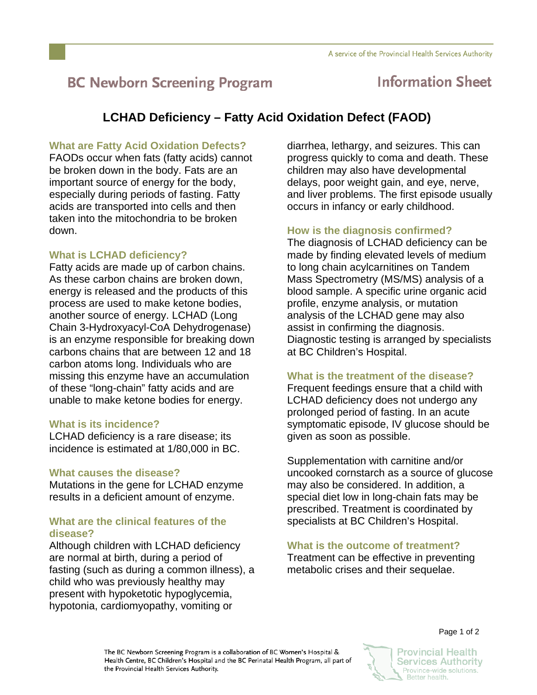# **BC Newborn Screening Program**

## **Information Sheet**

### **LCHAD Deficiency – Fatty Acid Oxidation Defect (FAOD)**

#### **What are Fatty Acid Oxidation Defects?**

FAODs occur when fats (fatty acids) cannot be broken down in the body. Fats are an important source of energy for the body, especially during periods of fasting. Fatty acids are transported into cells and then taken into the mitochondria to be broken down.

#### **What is LCHAD deficiency?**

Fatty acids are made up of carbon chains. As these carbon chains are broken down, energy is released and the products of this process are used to make ketone bodies, another source of energy. LCHAD (Long Chain 3-Hydroxyacyl-CoA Dehydrogenase) is an enzyme responsible for breaking down carbons chains that are between 12 and 18 carbon atoms long. Individuals who are missing this enzyme have an accumulation of these "long-chain" fatty acids and are unable to make ketone bodies for energy.

#### **What is its incidence?**

LCHAD deficiency is a rare disease; its incidence is estimated at 1/80,000 in BC.

#### **What causes the disease?**

Mutations in the gene for LCHAD enzyme results in a deficient amount of enzyme.

#### **What are the clinical features of the disease?**

Although children with LCHAD deficiency are normal at birth, during a period of fasting (such as during a common illness), a child who was previously healthy may present with hypoketotic hypoglycemia, hypotonia, cardiomyopathy, vomiting or

diarrhea, lethargy, and seizures. This can progress quickly to coma and death. These children may also have developmental delays, poor weight gain, and eye, nerve, and liver problems. The first episode usually occurs in infancy or early childhood.

#### **How is the diagnosis confirmed?**

The diagnosis of LCHAD deficiency can be made by finding elevated levels of medium to long chain acylcarnitines on Tandem Mass Spectrometry (MS/MS) analysis of a blood sample. A specific urine organic acid profile, enzyme analysis, or mutation analysis of the LCHAD gene may also assist in confirming the diagnosis. Diagnostic testing is arranged by specialists at BC Children's Hospital.

#### **What is the treatment of the disease?**

Frequent feedings ensure that a child with LCHAD deficiency does not undergo any prolonged period of fasting. In an acute symptomatic episode, IV glucose should be given as soon as possible.

Supplementation with carnitine and/or uncooked cornstarch as a source of glucose may also be considered. In addition, a special diet low in long-chain fats may be prescribed. Treatment is coordinated by specialists at BC Children's Hospital.

#### **What is the outcome of treatment?**

Treatment can be effective in preventing metabolic crises and their sequelae.

The BC Newborn Screening Program is a collaboration of BC Women's Hospital & Health Centre, BC Children's Hospital and the BC Perinatal Health Program, all part of the Provincial Health Services Authority.